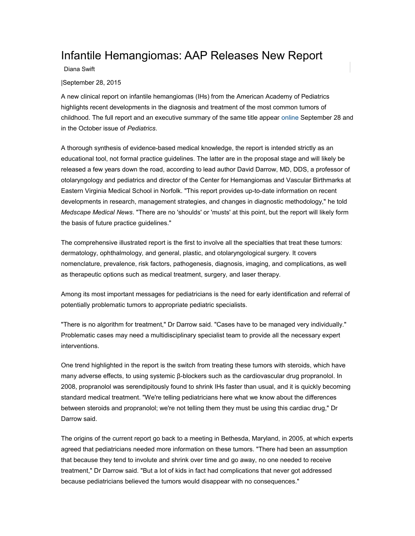## Infantile Hemangiomas: AAP Releases New Report

Diana Swift

|September 28, 2015

A new clinical report on infantile hemangiomas (IHs) from the American Academy of Pediatrics highlights recent developments in the diagnosis and treatment of the most common tumors of childhood. The full report and an executive summary of the same title appear [online](http://pediatrics.aappublications.org/content/early/2015/09/22/peds.2015-2485.full.pdf) September 28 and in the October issue of *Pediatrics*.

A thorough synthesis of evidence-based medical knowledge, the report is intended strictly as an educational tool, not formal practice guidelines. The latter are in the proposal stage and will likely be released a few years down the road, according to lead author David Darrow, MD, DDS, a professor of otolaryngology and pediatrics and director of the Center for Hemangiomas and Vascular Birthmarks at Eastern Virginia Medical School in Norfolk. "This report provides up-to-date information on recent developments in research, management strategies, and changes in diagnostic methodology," he told *Medscape Medical News*. "There are no 'shoulds' or 'musts' at this point, but the report will likely form the basis of future practice guidelines."

The comprehensive illustrated report is the first to involve all the specialties that treat these tumors: dermatology, ophthalmology, and general, plastic, and otolaryngological surgery. It covers nomenclature, prevalence, risk factors, pathogenesis, diagnosis, imaging, and complications, as well as therapeutic options such as medical treatment, surgery, and laser therapy.

Among its most important messages for pediatricians is the need for early identification and referral of potentially problematic tumors to appropriate pediatric specialists.

"There is no algorithm for treatment," Dr Darrow said. "Cases have to be managed very individually." Problematic cases may need a multidisciplinary specialist team to provide all the necessary expert interventions.

One trend highlighted in the report is the switch from treating these tumors with steroids, which have many adverse effects, to using systemic β-blockers such as the cardiovascular drug propranolol. In 2008, propranolol was serendipitously found to shrink IHs faster than usual, and it is quickly becoming standard medical treatment. "We're telling pediatricians here what we know about the differences between steroids and propranolol; we're not telling them they must be using this cardiac drug," Dr Darrow said.

The origins of the current report go back to a meeting in Bethesda, Maryland, in 2005, at which experts agreed that pediatricians needed more information on these tumors. "There had been an assumption that because they tend to involute and shrink over time and go away, no one needed to receive treatment," Dr Darrow said. "But a lot of kids in fact had complications that never got addressed because pediatricians believed the tumors would disappear with no consequences."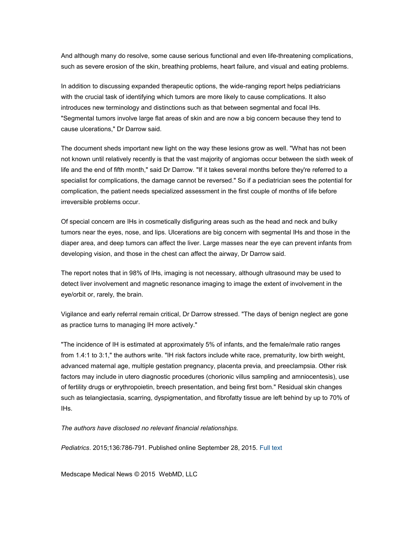And although many do resolve, some cause serious functional and even life-threatening complications, such as severe erosion of the skin, breathing problems, heart failure, and visual and eating problems.

In addition to discussing expanded therapeutic options, the wide-ranging report helps pediatricians with the crucial task of identifying which tumors are more likely to cause complications. It also introduces new terminology and distinctions such as that between segmental and focal IHs. "Segmental tumors involve large flat areas of skin and are now a big concern because they tend to cause ulcerations," Dr Darrow said.

The document sheds important new light on the way these lesions grow as well. "What has not been not known until relatively recently is that the vast majority of angiomas occur between the sixth week of life and the end of fifth month," said Dr Darrow. "If it takes several months before they're referred to a specialist for complications, the damage cannot be reversed." So if a pediatrician sees the potential for complication, the patient needs specialized assessment in the first couple of months of life before irreversible problems occur.

Of special concern are IHs in cosmetically disfiguring areas such as the head and neck and bulky tumors near the eyes, nose, and lips. Ulcerations are big concern with segmental IHs and those in the diaper area, and deep tumors can affect the liver. Large masses near the eye can prevent infants from developing vision, and those in the chest can affect the airway, Dr Darrow said.

The report notes that in 98% of IHs, imaging is not necessary, although ultrasound may be used to detect liver involvement and magnetic resonance imaging to image the extent of involvement in the eye/orbit or, rarely, the brain.

Vigilance and early referral remain critical, Dr Darrow stressed. "The days of benign neglect are gone as practice turns to managing IH more actively."

"The incidence of IH is estimated at approximately 5% of infants, and the female/male ratio ranges from 1.4:1 to 3:1," the authors write. "IH risk factors include white race, prematurity, low birth weight, advanced maternal age, multiple gestation pregnancy, placenta previa, and preeclampsia. Other risk factors may include in utero diagnostic procedures (chorionic villus sampling and amniocentesis), use of fertility drugs or erythropoietin, breech presentation, and being first born." Residual skin changes such as telangiectasia, scarring, dyspigmentation, and fibrofatty tissue are left behind by up to 70% of IHs.

*The authors have disclosed no relevant financial relationships.*

*Pediatrics*. 2015;136:786-791. Published online September 28, 2015. [Full text](http://pediatrics.aappublications.org/content/early/2015/09/22/peds.2015-2485.full.pdf)

Medscape Medical News © 2015 WebMD, LLC